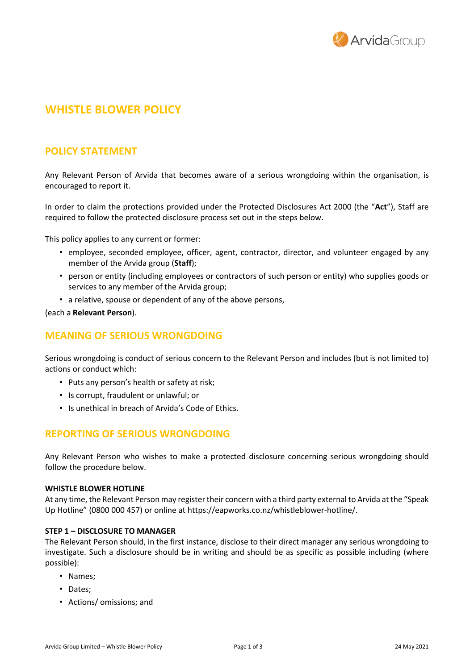

# **WHISTLE BLOWER POLICY**

# **POLICY STATEMENT**

Any Relevant Person of Arvida that becomes aware of a serious wrongdoing within the organisation, is encouraged to report it.

In order to claim the protections provided under the Protected Disclosures Act 2000 (the "**Act**"), Staff are required to follow the protected disclosure process set out in the steps below.

This policy applies to any current or former:

- employee, seconded employee, officer, agent, contractor, director, and volunteer engaged by any member of the Arvida group (**Staff**);
- person or entity (including employees or contractors of such person or entity) who supplies goods or services to any member of the Arvida group;
- a relative, spouse or dependent of any of the above persons,

#### (each a **Relevant Person**).

# **MEANING OF SERIOUS WRONGDOING**

Serious wrongdoing is conduct of serious concern to the Relevant Person and includes (but is not limited to) actions or conduct which:

- Puts any person's health or safety at risk;
- Is corrupt, fraudulent or unlawful; or
- Is unethical in breach of Arvida's Code of Ethics.

# **REPORTING OF SERIOUS WRONGDOING**

Any Relevant Person who wishes to make a protected disclosure concerning serious wrongdoing should follow the procedure below.

#### **WHISTLE BLOWER HOTLINE**

At any time, the Relevant Person may registertheir concern with a third party external to Arvida at the "Speak Up Hotline" (0800 000 457) or online at https://eapworks.co.nz/whistleblower-hotline/.

#### **STEP 1 – DISCLOSURE TO MANAGER**

The Relevant Person should, in the first instance, disclose to their direct manager any serious wrongdoing to investigate. Such a disclosure should be in writing and should be as specific as possible including (where possible):

- Names;
- Dates;
- Actions/ omissions; and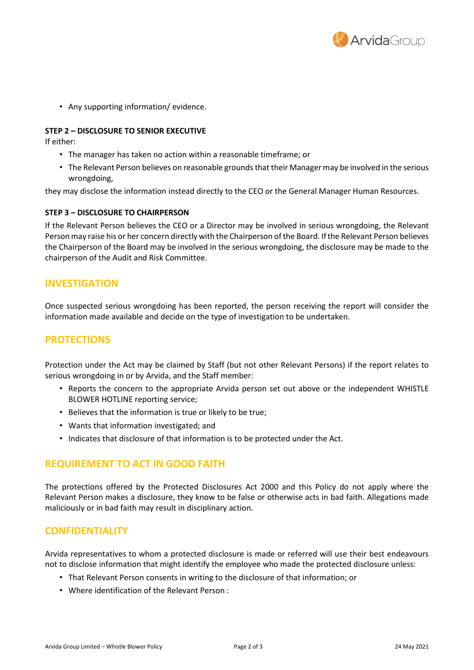

• Any supporting information/ evidence.

#### **STEP 2 – DISCLOSURE TO SENIOR EXECUTIVE**

If either:

- The manager has taken no action within a reasonable timeframe; or
- The Relevant Person believes on reasonable grounds that their Manager may be involved in the serious wrongdoing,

they may disclose the information instead directly to the CEO or the General Manager Human Resources.

#### **STEP 3 – DISCLOSURE TO CHAIRPERSON**

If the Relevant Person believes the CEO or a Director may be involved in serious wrongdoing, the Relevant Person may raise his or her concern directly with the Chairperson ofthe Board. Ifthe Relevant Person believes the Chairperson of the Board may be involved in the serious wrongdoing, the disclosure may be made to the chairperson of the Audit and Risk Committee.

# **INVESTIGATION**

Once suspected serious wrongdoing has been reported, the person receiving the report will consider the information made available and decide on the type of investigation to be undertaken.

# **PROTECTIONS**

Protection under the Act may be claimed by Staff (but not other Relevant Persons) if the report relates to serious wrongdoing in or by Arvida, and the Staff member:

- Reports the concern to the appropriate Arvida person set out above or the independent WHISTLE BLOWER HOTLINE reporting service;
- Believes that the information is true or likely to be true;
- Wants that information investigated; and
- Indicates that disclosure of that information is to be protected under the Act.

# **REQUIREMENT TO ACT IN GOOD FAITH**

The protections offered by the Protected Disclosures Act 2000 and this Policy do not apply where the Relevant Person makes a disclosure, they know to be false or otherwise acts in bad faith. Allegations made maliciously or in bad faith may result in disciplinary action.

# **CONFIDENTIALITY**

Arvida representatives to whom a protected disclosure is made or referred will use their best endeavours not to disclose information that might identify the employee who made the protected disclosure unless:

- That Relevant Person consents in writing to the disclosure of that information; or
- Where identification of the Relevant Person :